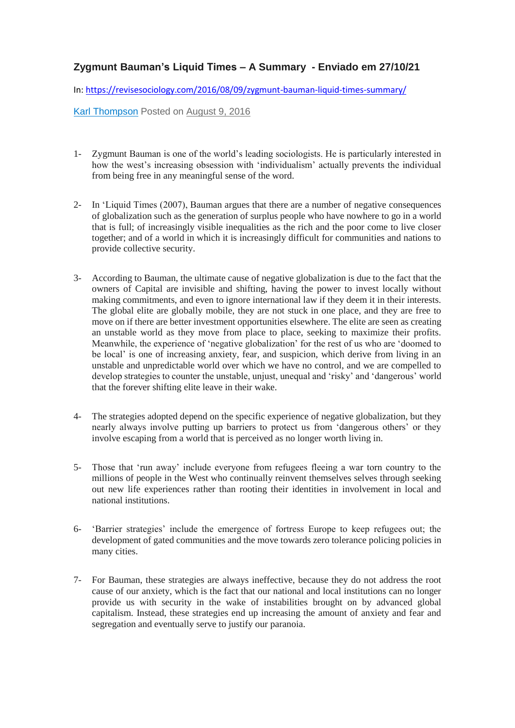## **Zygmunt Bauman's Liquid Times – A Summary - Enviado em 27/10/21**

In:<https://revisesociology.com/2016/08/09/zygmunt-bauman-liquid-times-summary/>

[Karl Thompson](https://revisesociology.com/author/notsoclevermonkeys/) Posted on [August 9, 2016](https://revisesociology.com/2016/08/09/zygmunt-bauman-liquid-times-summary/)

- 1- Zygmunt Bauman is one of the world's leading sociologists. He is particularly interested in how the west's increasing obsession with 'individualism' actually prevents the individual from being free in any meaningful sense of the word.
- 2- In 'Liquid Times (2007), Bauman argues that there are a number of negative consequences of globalization such as the generation of surplus people who have nowhere to go in a world that is full; of increasingly visible inequalities as the rich and the poor come to live closer together; and of a world in which it is increasingly difficult for communities and nations to provide collective security.
- 3- According to Bauman, the ultimate cause of negative globalization is due to the fact that the owners of Capital are invisible and shifting, having the power to invest locally without making commitments, and even to ignore international law if they deem it in their interests. The global elite are globally mobile, they are not stuck in one place, and they are free to move on if there are better investment opportunities elsewhere. The elite are seen as creating an unstable world as they move from place to place, seeking to maximize their profits. Meanwhile, the experience of 'negative globalization' for the rest of us who are 'doomed to be local' is one of increasing anxiety, fear, and suspicion, which derive from living in an unstable and unpredictable world over which we have no control, and we are compelled to develop strategies to counter the unstable, unjust, unequal and 'risky' and 'dangerous' world that the forever shifting elite leave in their wake.
- 4- The strategies adopted depend on the specific experience of negative globalization, but they nearly always involve putting up barriers to protect us from 'dangerous others' or they involve escaping from a world that is perceived as no longer worth living in.
- 5- Those that 'run away' include everyone from refugees fleeing a war torn country to the millions of people in the West who continually reinvent themselves selves through seeking out new life experiences rather than rooting their identities in involvement in local and national institutions.
- 6- 'Barrier strategies' include the emergence of fortress Europe to keep refugees out; the development of gated communities and the move towards zero tolerance policing policies in many cities.
- 7- For Bauman, these strategies are always ineffective, because they do not address the root cause of our anxiety, which is the fact that our national and local institutions can no longer provide us with security in the wake of instabilities brought on by advanced global capitalism. Instead, these strategies end up increasing the amount of anxiety and fear and segregation and eventually serve to justify our paranoia.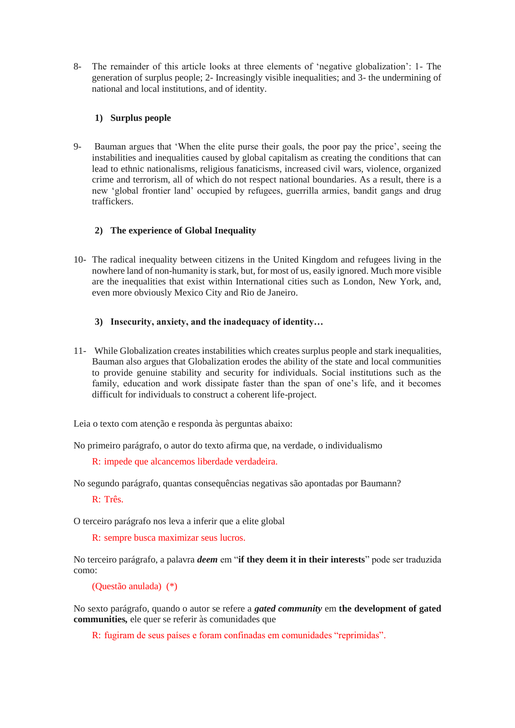8- The remainder of this article looks at three elements of 'negative globalization': 1- The generation of surplus people; 2- Increasingly visible inequalities; and 3- the undermining of national and local institutions, and of identity.

## **1) Surplus people**

9- Bauman argues that 'When the elite purse their goals, the poor pay the price', seeing the instabilities and inequalities caused by global capitalism as creating the conditions that can lead to ethnic nationalisms, religious fanaticisms, increased civil wars, violence, organized crime and terrorism, all of which do not respect national boundaries. As a result, there is a new 'global frontier land' occupied by refugees, guerrilla armies, bandit gangs and drug traffickers.

## **2) The experience of Global Inequality**

10- The radical inequality between citizens in the United Kingdom and refugees living in the nowhere land of non-humanity is stark, but, for most of us, easily ignored. Much more visible are the inequalities that exist within International cities such as London, New York, and, even more obviously Mexico City and Rio de Janeiro.

## **3) Insecurity, anxiety, and the inadequacy of identity…**

11- While Globalization creates instabilities which creates surplus people and stark inequalities, Bauman also argues that Globalization erodes the ability of the state and local communities to provide genuine stability and security for individuals. Social institutions such as the family, education and work dissipate faster than the span of one's life, and it becomes difficult for individuals to construct a coherent life-project.

Leia o texto com atenção e responda às perguntas abaixo:

No primeiro parágrafo, o autor do texto afirma que, na verdade, o individualismo

R: impede que alcancemos liberdade verdadeira.

No segundo parágrafo, quantas consequências negativas são apontadas por Baumann?

R: Três.

O terceiro parágrafo nos leva a inferir que a elite global

R: sempre busca maximizar seus lucros.

No terceiro parágrafo, a palavra *deem* em "**if they deem it in their interests**" pode ser traduzida como:

(Questão anulada) (\*)

No sexto parágrafo, quando o autor se refere a *gated community* em **the development of gated communities***,* ele quer se referir às comunidades que

R: fugiram de seus países e foram confinadas em comunidades "reprimidas".